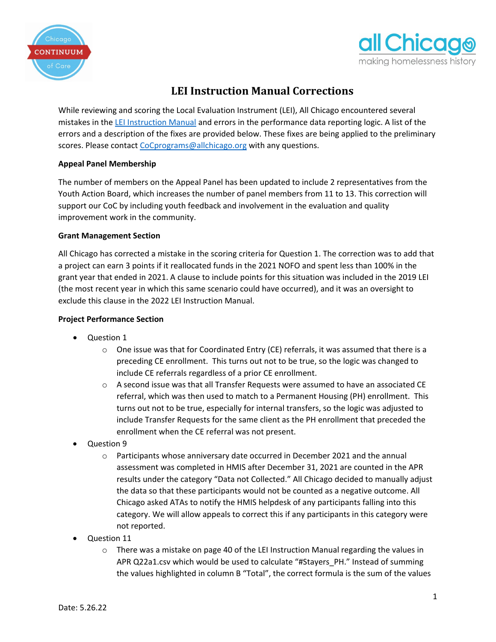



## **LEI Instruction Manual Corrections**

While reviewing and scoring the Local Evaluation Instrument (LEI), All Chicago encountered several mistakes in the [LEI Instruction Manual](https://allchicago.org/wp-content/uploads/2022/04/2022-Local-Evaluation-Instruction-Manual.pdf) and errors in the performance data reporting logic. A list of the errors and a description of the fixes are provided below. These fixes are being applied to the preliminary scores. Please contact [CoCprograms@allchicago.org](mailto:CoCprograms@allchicago.org) with any questions.

## **Appeal Panel Membership**

The number of members on the Appeal Panel has been updated to include 2 representatives from the Youth Action Board, which increases the number of panel members from 11 to 13. This correction will support our CoC by including youth feedback and involvement in the evaluation and quality improvement work in the community.

## **Grant Management Section**

All Chicago has corrected a mistake in the scoring criteria for Question 1. The correction was to add that a project can earn 3 points if it reallocated funds in the 2021 NOFO and spent less than 100% in the grant year that ended in 2021. A clause to include points for this situation was included in the 2019 LEI (the most recent year in which this same scenario could have occurred), and it was an oversight to exclude this clause in the 2022 LEI Instruction Manual.

## **Project Performance Section**

- Question 1
	- $\circ$  One issue was that for Coordinated Entry (CE) referrals, it was assumed that there is a preceding CE enrollment. This turns out not to be true, so the logic was changed to include CE referrals regardless of a prior CE enrollment.
	- $\circ$  A second issue was that all Transfer Requests were assumed to have an associated CE referral, which was then used to match to a Permanent Housing (PH) enrollment. This turns out not to be true, especially for internal transfers, so the logic was adjusted to include Transfer Requests for the same client as the PH enrollment that preceded the enrollment when the CE referral was not present.
- Question 9
	- $\circ$  Participants whose anniversary date occurred in December 2021 and the annual assessment was completed in HMIS after December 31, 2021 are counted in the APR results under the category "Data not Collected." All Chicago decided to manually adjust the data so that these participants would not be counted as a negative outcome. All Chicago asked ATAs to notify the HMIS helpdesk of any participants falling into this category. We will allow appeals to correct this if any participants in this category were not reported.
- Question 11
	- $\circ$  There was a mistake on page 40 of the LEI Instruction Manual regarding the values in APR Q22a1.csv which would be used to calculate "#Stayers\_PH." Instead of summing the values highlighted in column B "Total", the correct formula is the sum of the values